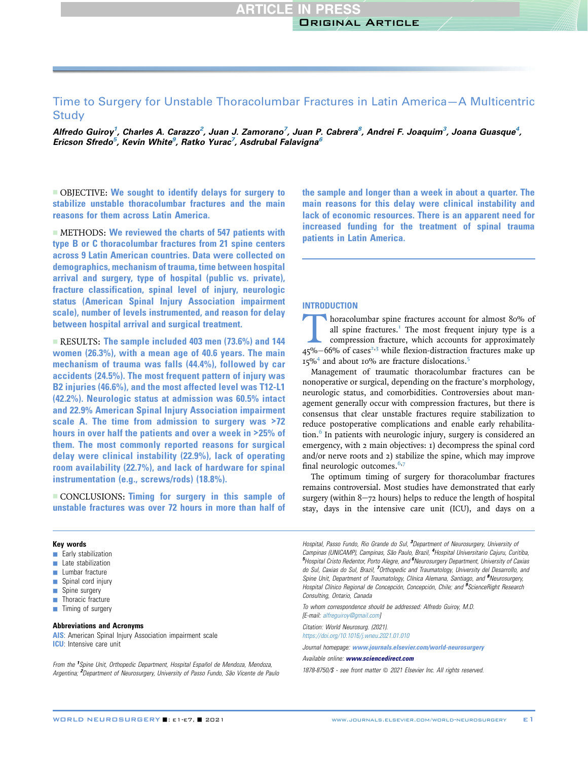# Time to Surgery for Unstable Thoracolumbar Fractures in Latin America—A Multicentric **Study**

Alfredo Guiroy<sup>1</sup>, Charles A. Carazzo<sup>2</sup>, Juan J. Zamorano<sup>7</sup>, Juan P. Cabrera<sup>8</sup>, Andrei F. Joaquim<sup>3</sup>, Joana Guasque<sup>4</sup>, Ericson Sfredo<sup>5</sup>, Kevin White<sup>9</sup>, Ratko Yurac<sup>7</sup>, Asdrubal Falavigna<sup>6</sup>

- OBJECTIVE: We sought to identify delays for surgery to stabilize unstable thoracolumbar fractures and the main reasons for them across Latin America.

 $\blacksquare$  METHODS: We reviewed the charts of 547 patients with type B or C thoracolumbar fractures from 21 spine centers across 9 Latin American countries. Data were collected on demographics, mechanism of trauma, time between hospital arrival and surgery, type of hospital (public vs. private), fracture classification, spinal level of injury, neurologic status (American Spinal Injury Association impairment scale), number of levels instrumented, and reason for delay between hospital arrival and surgical treatment.

 $RESULTS:$  The sample included 403 men (73.6%) and 144 women (26.3%), with a mean age of 40.6 years. The main mechanism of trauma was falls (44.4%), followed by car accidents (24.5%). The most frequent pattern of injury was B2 injuries (46.6%), and the most affected level was T12-L1 (42.2%). Neurologic status at admission was 60.5% intact and 22.9% American Spinal Injury Association impairment scale A. The time from admission to surgery was >72 hours in over half the patients and over a week in >25% of them. The most commonly reported reasons for surgical delay were clinical instability (22.9%), lack of operating room availability (22.7%), and lack of hardware for spinal instrumentation (e.g., screws/rods) (18.8%).

**CONCLUSIONS: Timing for surgery in this sample of** unstable fractures was over 72 hours in more than half of the sample and longer than a week in about a quarter. The main reasons for this delay were clinical instability and lack of economic resources. There is an apparent need for increased funding for the treatment of spinal trauma patients in Latin America.

# **INTRODUCTION**

**Thoracolumbar spin[e](#page-5-0) fractures account for almost 80% of all spine fractures.**<sup>T</sup> The most frequent injury type is a compression fracture, which accounts for approximately  $45\% - 66\%$  of cases<sup>2,3</sup> while flexion-distract all spine fractures. $<sup>T</sup>$  The most frequent injury type is a</sup> compression fracture, which accounts for approximately  $45\% - 66\%$  of cases<sup>2,3</sup> while flexion-distraction fractures make up 15%<sup>[4](#page-5-3)</sup> and about 10% are fracture dislocations.<sup>[5](#page-5-4)</sup>

Management of traumatic thoracolumbar fractures can be nonoperative or surgical, depending on the fracture's morphology, neurologic status, and comorbidities. Controversies about management generally occur with compression fractures, but there is consensus that clear unstable fractures require stabilization to reduce postoperative complications and enable early rehabilita-tion.<sup>[6](#page-5-5)</sup> In patients with neurologic injury, surgery is considered an emergency, with 2 main objectives: 1) decompress the spinal cord and/or nerve roots and 2) stabilize the spine, which may improve final neurologic outcomes. $6,7$  $6,7$ 

The optimum timing of surgery for thoracolumbar fractures remains controversial. Most studies have demonstrated that early surgery (within  $8-72$  hours) helps to reduce the length of hospital stay, days in the intensive care unit (ICU), and days on a

#### Key words

- **Early stabilization**
- $\blacksquare$  Late stabilization
- $\blacksquare$  Lumbar fracture
- $\Box$  Spinal cord injury
- **B** Spine surgery
- $\blacksquare$  Thoracic fracture
- $\blacksquare$  Timing of surgery

## Abbreviations and Acronyms

AIS: American Spinal Injury Association impairment scale ICU: Intensive care unit

From the <sup>1</sup>Spine Unit, Orthopedic Department, Hospital Español de Mendoza, Mendoza, Argentina; <sup>2</sup> Department of Neurosurgery, University of Passo Fundo, São Vicente de Paulo

Hospital, Passo Fundo, Rio Grande do Sul, <sup>3</sup>Department of Neurosurgery, University of Campinas (UNICAMP), Campinas, São Paulo, Brazil, <sup>4</sup>Hospital Universitario Cajuru, Curitiba, <sup>5</sup> Hospital Cristo Redentor, Porto Alegre, and <sup>6</sup> Neurosurgery Department, University of Caxias do Sul, Caxias do Sul, Brazil, <sup>7</sup>Orthopedic and Traumatology, University del Desarrollo, and Spine Unit, Department of Traumatology, Clínica Alemana, Santiago, and <sup>8</sup>Neurosurgery, Hospital Clínico Regional de Concepción, Concepción, Chile; and <sup>9</sup>ScienceRight Research Consulting, Ontario, Canada

To whom correspondence should be addressed: Alfredo Guiroy, M.D. [E-mail: [alfreguiroy@gmail.com](mailto:alfreguiroy@gmail.com)]

Citation: World Neurosurg. (2021). <https://doi.org/10.1016/j.wneu.2021.01.010>

Journal homepage: <www.journals.elsevier.com/world-neurosurgery>

Available online: [www.sciencedirect.com](www.sciencedirect.com/science/journal/18788750)

1878-8750/\$ - see front matter @ 2021 Elsevier Inc. All rights reserved.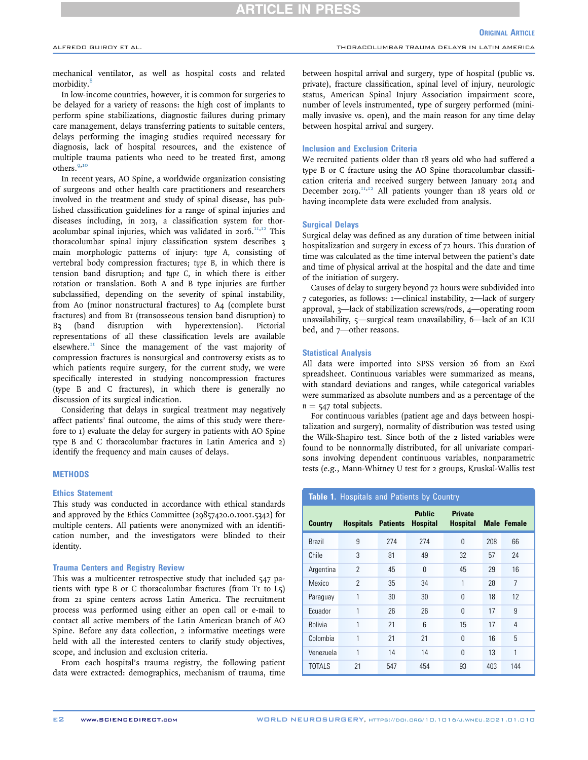# RTICLE IN P

mechanical ventilator, as well as hospital costs and related morbidity.<sup>[8](#page-5-7)</sup>

In low-income countries, however, it is common for surgeries to be delayed for a variety of reasons: the high cost of implants to perform spine stabilizations, diagnostic failures during primary care management, delays transferring patients to suitable centers, delays performing the imaging studies required necessary for diagnosis, lack of hospital resources, and the existence of multiple trauma patients who need to be treated first, among others.[9,](#page-5-8)[10](#page-5-9)

In recent years, AO Spine, a worldwide organization consisting of surgeons and other health care practitioners and researchers involved in the treatment and study of spinal disease, has published classification guidelines for a range of spinal injuries and diseases including, in 2013, a classification system for thoracolumbar spinal injuries, which was validated in  $2016$ ,  $\text{H},\text{H}$  This thoracolumbar spinal injury classification system describes 3 main morphologic patterns of injury: type A, consisting of vertebral body compression fractures; type B, in which there is tension band disruption; and type C, in which there is either rotation or translation. Both A and B type injuries are further subclassified, depending on the severity of spinal instability, from A0 (minor nonstructural fractures) to A4 (complete burst fractures) and from B1 (transosseous tension band disruption) to B3 (band disruption with hyperextension). Pictorial representations of all these classification levels are available elsewhere. $<sup>II</sup>$  Since the management of the vast majority of</sup> compression fractures is nonsurgical and controversy exists as to which patients require surgery, for the current study, we were specifically interested in studying noncompression fractures (type B and C fractures), in which there is generally no discussion of its surgical indication.

Considering that delays in surgical treatment may negatively affect patients' final outcome, the aims of this study were therefore to 1) evaluate the delay for surgery in patients with AO Spine type B and C thoracolumbar fractures in Latin America and 2) identify the frequency and main causes of delays.

## **METHODS**

#### Ethics Statement

This study was conducted in accordance with ethical standards and approved by the Ethics Committee (29857420.0.1001.5342) for multiple centers. All patients were anonymized with an identification number, and the investigators were blinded to their identity.

## Trauma Centers and Registry Review

This was a multicenter retrospective study that included 547 patients with type B or C thoracolumbar fractures (from T1 to L5) from 21 spine centers across Latin America. The recruitment process was performed using either an open call or e-mail to contact all active members of the Latin American branch of AO Spine. Before any data collection, 2 informative meetings were held with all the interested centers to clarify study objectives, scope, and inclusion and exclusion criteria.

From each hospital's trauma registry, the following patient data were extracted: demographics, mechanism of trauma, time between hospital arrival and surgery, type of hospital (public vs. private), fracture classification, spinal level of injury, neurologic status, American Spinal Injury Association impairment score, number of levels instrumented, type of surgery performed (minimally invasive vs. open), and the main reason for any time delay between hospital arrival and surgery.

#### Inclusion and Exclusion Criteria

We recruited patients older than 18 years old who had suffered a type B or C fracture using the AO Spine thoracolumbar classification criteria and received surgery between January 2014 and December 2019.<sup>[11](#page-5-10)[,12](#page-5-11)</sup> All patients younger than 18 years old or having incomplete data were excluded from analysis.

#### Surgical Delays

Surgical delay was defined as any duration of time between initial hospitalization and surgery in excess of 72 hours. This duration of time was calculated as the time interval between the patient's date and time of physical arrival at the hospital and the date and time of the initiation of surgery.

Causes of delay to surgery beyond 72 hours were subdivided into 7 categories, as follows: 1—clinical instability, 2—lack of surgery approval, 3—lack of stabilization screws/rods, 4—operating room unavailability, 5—surgical team unavailability, 6—lack of an ICU bed, and 7—other reasons.

#### Statistical Analysis

All data were imported into SPSS version 26 from an Excel spreadsheet. Continuous variables were summarized as means, with standard deviations and ranges, while categorical variables were summarized as absolute numbers and as a percentage of the  $n = 547$  total subjects.

For continuous variables (patient age and days between hospitalization and surgery), normality of distribution was tested using the Wilk-Shapiro test. Since both of the 2 listed variables were found to be nonnormally distributed, for all univariate comparisons involving dependent continuous variables, nonparametric tests (e.g., Mann-Whitney U test for 2 groups, Kruskal-Wallis test

<span id="page-1-0"></span>Table 1. Hospitals and Patients by Country

| <b>Country</b> | <b>Hospitals Patients</b> |     | <b>Public</b><br><b>Hospital</b> | <b>Private</b><br><b>Hospital</b> |     | <b>Male Female</b> |
|----------------|---------------------------|-----|----------------------------------|-----------------------------------|-----|--------------------|
| <b>Brazil</b>  | 9                         | 274 | 274                              | $\Omega$                          | 208 | 66                 |
| Chile          | 3                         | 81  | 49                               | 32                                | 57  | 24                 |
| Argentina      | $\overline{2}$            | 45  | $\Omega$                         | 45                                | 29  | 16                 |
| Mexico         | $\overline{2}$            | 35  | 34                               | 1                                 | 28  | 7                  |
| Paraguay       | 1                         | 30  | 30                               | $\Omega$                          | 18  | 12                 |
| Ecuador        | 1                         | 26  | 26                               | $\Omega$                          | 17  | 9                  |
| <b>Bolivia</b> | 1                         | 21  | 6                                | 15                                | 17  | 4                  |
| Colombia       | 1                         | 21  | 21                               | $\Omega$                          | 16  | 5                  |
| Venezuela      | 1                         | 14  | 14                               | $\Omega$                          | 13  | 1                  |
| <b>TOTALS</b>  | 21                        | 547 | 454                              | 93                                | 403 | 144                |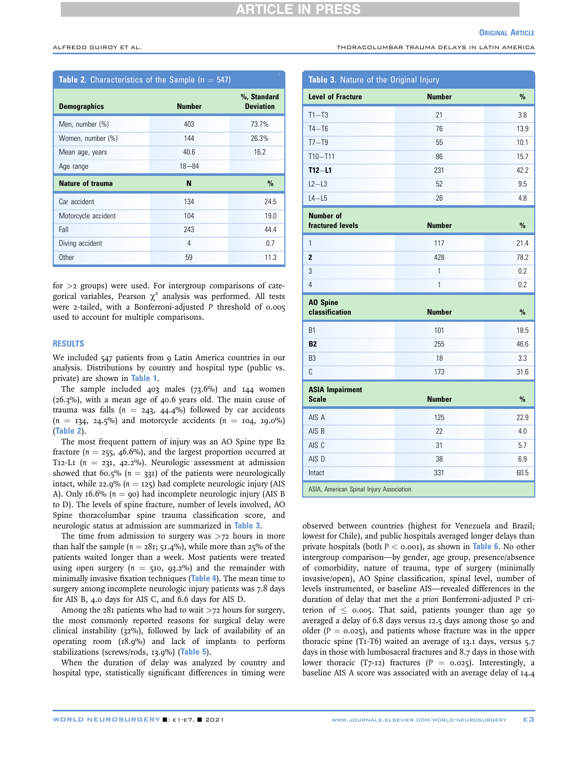#### **ORIGINAL ARTICLE**

ALFREDO GUIROY ET AL. THORACOLUMBAR TRAUMA DELAYS IN LATIN AMERICA

<span id="page-2-0"></span>

| <b>Table 2.</b> Characteristics of the Sample ( $n = 547$ ) |               |                                 |  |  |
|-------------------------------------------------------------|---------------|---------------------------------|--|--|
| <b>Demographics</b>                                         | <b>Number</b> | %, Standard<br><b>Deviation</b> |  |  |
| Men, number (%)                                             | 403           | 73.7%                           |  |  |
| Women, number (%)                                           | 144           | 26.3%                           |  |  |
| Mean age, years                                             | 40.6          | 16.2                            |  |  |
| Age range                                                   | $18 - 84$     |                                 |  |  |
| Nature of trauma                                            | N             | $\%$                            |  |  |
| Car accident                                                | 134           | 24.5                            |  |  |
| Motorcycle accident                                         | 104           | 19.0                            |  |  |
| Fall                                                        | 243           | 44.4                            |  |  |
| Diving accident                                             | 4             | 0.7                             |  |  |
| Other                                                       | 59            | 11.3                            |  |  |

for  $>$ 2 groups) were used. For intergroup comparisons of categorical variables, Pearson  $\chi^2$  analysis was performed. All tests were 2-tailed, with a Bonferroni-adjusted P threshold of 0.005 used to account for multiple comparisons.

## RESULTS

We included 547 patients from 9 Latin America countries in our analysis. Distributions by country and hospital type (public vs. private) are shown in [Table 1](#page-1-0).

The sample included 403 males (73.6%) and 144 women (26.3%), with a mean age of 40.6 years old. The main cause of trauma was falls ( $n = 243, 44.4%$ ) followed by car accidents  $(n = 134, 24.5%)$  and motorcycle accidents  $(n = 104, 19.0%)$ ([Table 2](#page-2-0)).

The most frequent pattern of injury was an AO Spine type B2 fracture ( $n = 255$ , 46.6%), and the largest proportion occurred at T12-L1 ( $n = 231, 42.2\%$ ). Neurologic assessment at admission showed that 60.5% ( $n = 331$ ) of the patients were neurologically intact, while 22.9% ( $n = 125$ ) had complete neurologic injury (AIS A). Only 16.6% ( $n = qo$ ) had incomplete neurologic injury (AIS B) to D). The levels of spine fracture, number of levels involved, AO Spine thoracolumbar spine trauma classification score, and neurologic status at admission are summarized in [Table 3](#page-2-1).

The time from admission to surgery was  $>72$  hours in more than half the sample ( $n = 28$ 1; 51.4%), while more than 25% of the patients waited longer than a week. Most patients were treated using open surgery ( $n = 510$ , 93.2%) and the remainder with minimally invasive fixation techniques ([Table 4](#page-3-0)). The mean time to surgery among incomplete neurologic injury patients was 7.8 days for AIS B, 4.0 days for AIS C, and 6.6 days for AIS D.

Among the  $28i$  patients who had to wait  $>72$  hours for surgery, the most commonly reported reasons for surgical delay were clinical instability (32%), followed by lack of availability of an operating room (18.9%) and lack of implants to perform stabilizations (screws/rods, 13.9%) ([Table 5](#page-3-1)).

When the duration of delay was analyzed by country and hospital type, statistically significant differences in timing were

<span id="page-2-1"></span>

| Table 3. Nature of the Original Injury    |               |               |  |  |  |
|-------------------------------------------|---------------|---------------|--|--|--|
| <b>Level of Fracture</b>                  | <b>Number</b> | $\%$          |  |  |  |
| $T1 - T3$                                 | 21            | 3.8           |  |  |  |
| $T4 - T6$                                 | 76            | 13.9          |  |  |  |
| $T7 - T9$                                 | 55            | 10.1          |  |  |  |
| $T10 - T11$                               | 86            | 15.7          |  |  |  |
| $T12 - L1$                                | 231           | 42.2          |  |  |  |
| $L2-L3$                                   | 52            | 9.5           |  |  |  |
| $L4 - L5$                                 | 26            | 4.8           |  |  |  |
| <b>Number of</b>                          |               |               |  |  |  |
| fractured levels                          | <b>Number</b> | $\%$          |  |  |  |
| 1                                         | 117           | 21.4          |  |  |  |
| $\overline{2}$                            | 428           | 78.2          |  |  |  |
| 3                                         | $\mathbf{1}$  | 0.2           |  |  |  |
| $\overline{4}$                            | 1             | 0.2           |  |  |  |
| <b>AO Spine</b><br>classification         | <b>Number</b> |               |  |  |  |
|                                           |               | $\%$          |  |  |  |
| <b>B1</b>                                 | 101           | 18.5          |  |  |  |
| <b>B2</b>                                 | 255           | 46.6          |  |  |  |
| B <sub>3</sub>                            | 18            | 3.3           |  |  |  |
| C                                         | 173           | 31.6          |  |  |  |
| <b>ASIA Impairment</b><br><b>Scale</b>    | <b>Number</b> | $\frac{9}{6}$ |  |  |  |
|                                           |               |               |  |  |  |
| AIS A                                     | 125           | 22.9          |  |  |  |
| AIS B                                     | 22            | 4.0           |  |  |  |
| AIS C                                     | 31            | 5.7           |  |  |  |
| AIS D                                     | 38            | 6.9           |  |  |  |
| Intact                                    | 331           | 60.5          |  |  |  |
| ASIA, American Spinal Injury Association. |               |               |  |  |  |

observed between countries (highest for Venezuela and Brazil; lowest for Chile), and public hospitals averaged longer delays than private hospitals (both  $P < 0.001$ ), as shown in [Table 6](#page-3-2). No other intergroup comparison—by gender, age group, presence/absence of comorbidity, nature of trauma, type of surgery (minimally invasive/open), AO Spine classification, spinal level, number of levels instrumented, or baseline AIS—revealed differences in the duration of delay that met the a priori Bonferroni-adjusted P criterion of  $\leq$  0.005. That said, patients younger than age 50 averaged a delay of 6.8 days versus 12.5 days among those 50 and older ( $P = 0.025$ ), and patients whose fracture was in the upper thoracic spine (T1-T6) waited an average of 13.1 days, versus 5.7 days in those with lumbosacral fractures and 8.7 days in those with lower thoracic (T7-12) fractures (P =  $0.025$ ). Interestingly, a baseline AIS A score was associated with an average delay of 14.4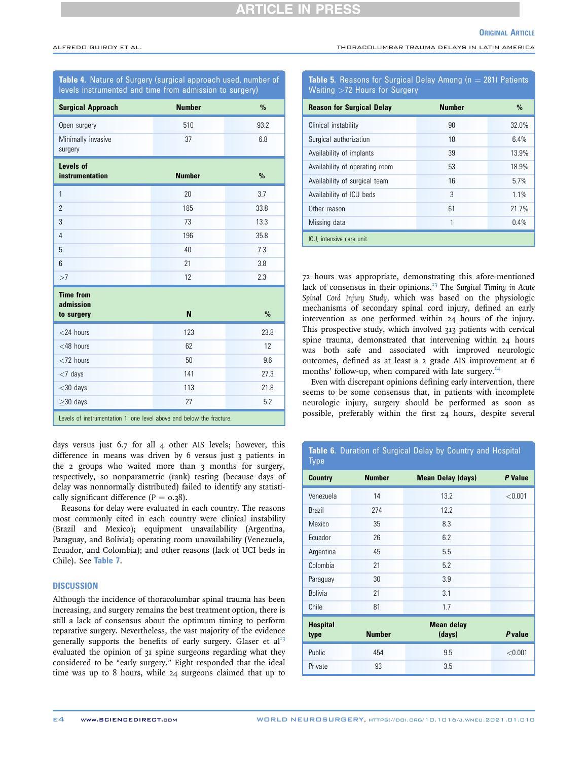ALFREDO GUIROY ET AL. THORACOLUMBAR TRAUMA DELAYS IN LATIN AMERICA

<span id="page-3-0"></span>

| Table 4. Nature of Surgery (surgical approach used, number of<br>levels instrumented and time from admission to surgery) |               |               |  |  |
|--------------------------------------------------------------------------------------------------------------------------|---------------|---------------|--|--|
| <b>Surgical Approach</b>                                                                                                 | <b>Number</b> | $\frac{9}{6}$ |  |  |
| Open surgery                                                                                                             | 510           | 93.2          |  |  |
| Minimally invasive<br>surgery                                                                                            | 37            | 6.8           |  |  |
| Levels of<br>instrumentation                                                                                             | <b>Number</b> | $\frac{9}{6}$ |  |  |
| $\mathbf{1}$                                                                                                             | 20            | 3.7           |  |  |
| $\overline{2}$                                                                                                           | 185           | 33.8          |  |  |
| 3                                                                                                                        | 73            | 13.3          |  |  |
| $\overline{4}$                                                                                                           | 196           | 35.8          |  |  |
| 5                                                                                                                        | 40            | 7.3           |  |  |
| 6                                                                                                                        | 21            | 3.8           |  |  |
| >7                                                                                                                       | 12            | 2.3           |  |  |
| <b>Time from</b><br>admission<br>to surgery                                                                              | N             | $\frac{9}{6}$ |  |  |
| $<$ 24 hours                                                                                                             | 123           | 23.8          |  |  |
| $<$ 48 hours                                                                                                             | 62            | 12            |  |  |
| $<$ 72 hours                                                                                                             | 50            | 9.6           |  |  |
| $<$ 7 days                                                                                                               | 141           | 27.3          |  |  |
| $<$ 30 days                                                                                                              | 113           | 21.8          |  |  |
| $>30$ days                                                                                                               | 27            | 5.2           |  |  |
| Levels of instrumentation 1: one level above and below the fracture.                                                     |               |               |  |  |

days versus just 6.7 for all 4 other AIS levels; however, this difference in means was driven by 6 versus just 3 patients in the 2 groups who waited more than 3 months for surgery, respectively, so nonparametric (rank) testing (because days of delay was nonnormally distributed) failed to identify any statistically significant difference  $(P = 0.38)$ .

Reasons for delay were evaluated in each country. The reasons most commonly cited in each country were clinical instability (Brazil and Mexico); equipment unavailability (Argentina, Paraguay, and Bolivia); operating room unavailability (Venezuela, Ecuador, and Colombia); and other reasons (lack of UCI beds in Chile). See [Table 7](#page-4-0).

# **DISCUSSION**

Although the incidence of thoracolumbar spinal trauma has been increasing, and surgery remains the best treatment option, there is still a lack of consensus about the optimum timing to perform reparative surgery. Nevertheless, the vast majority of the evidence generally supports the benefits of early surgery. Glaser et  $al^{13}$  $al^{13}$  $al^{13}$ evaluated the opinion of 31 spine surgeons regarding what they considered to be "early surgery." Eight responded that the ideal time was up to 8 hours, while 24 surgeons claimed that up to

# <span id="page-3-1"></span>Table 5. Reasons for Surgical Delay Among ( $n = 281$ ) Patients Waiting >72 Hours for Surgery

| <b>Reason for Surgical Delay</b> | <b>Number</b> | $\%$  |  |  |
|----------------------------------|---------------|-------|--|--|
| Clinical instability             | 90            | 32.0% |  |  |
| Surgical authorization           | 18            | 6.4%  |  |  |
| Availability of implants         | 39            | 13.9% |  |  |
| Availability of operating room   | 53            | 18.9% |  |  |
| Availability of surgical team    | 16            | 5.7%  |  |  |
| Availability of ICU beds         | 3             | 1.1%  |  |  |
| Other reason                     | 61            | 21.7% |  |  |
| Missing data                     | 1             | 0.4%  |  |  |
| ICU, intensive care unit.        |               |       |  |  |

72 hours was appropriate, demonstrating this afore-mentioned lack of consensus in their opinions. $^{13}$  $^{13}$  $^{13}$  The Surgical Timing in Acute Spinal Cord Injury Study, which was based on the physiologic mechanisms of secondary spinal cord injury, defined an early intervention as one performed within 24 hours of the injury. This prospective study, which involved 313 patients with cervical spine trauma, demonstrated that intervening within 24 hours was both safe and associated with improved neurologic outcomes, defined as at least a 2 grade AIS improvement at 6 months' follow-up, when compared with late surgery.<sup>[14](#page-6-1)</sup>

Even with discrepant opinions defining early intervention, there seems to be some consensus that, in patients with incomplete neurologic injury, surgery should be performed as soon as possible, preferably within the first 24 hours, despite several

<span id="page-3-2"></span>

| Table 6. Duration of Surgical Delay by Country and Hospital<br><b>Type</b> |               |                             |                |  |  |
|----------------------------------------------------------------------------|---------------|-----------------------------|----------------|--|--|
| <b>Country</b>                                                             | <b>Number</b> | <b>Mean Delay (days)</b>    | P Value        |  |  |
| Venezuela                                                                  | 14            | 13.2                        | < 0.001        |  |  |
| <b>Brazil</b>                                                              | 274           | 12.2                        |                |  |  |
| Mexico                                                                     | 35            | 8.3                         |                |  |  |
| Ecuador                                                                    | 26            | 6.2                         |                |  |  |
| Argentina                                                                  | 45            | 5.5                         |                |  |  |
| Colombia                                                                   | 21            | 5.2                         |                |  |  |
| Paraguay                                                                   | 30            | 3.9                         |                |  |  |
| <b>Bolivia</b>                                                             | 21            | 3.1                         |                |  |  |
| Chile                                                                      | 81            | 1.7                         |                |  |  |
| <b>Hospital</b><br>type                                                    | <b>Number</b> | <b>Mean delay</b><br>(days) | <b>P</b> value |  |  |
| Public                                                                     | 454           | 9.5                         | < 0.001        |  |  |
| Private                                                                    | 93            | 3.5                         |                |  |  |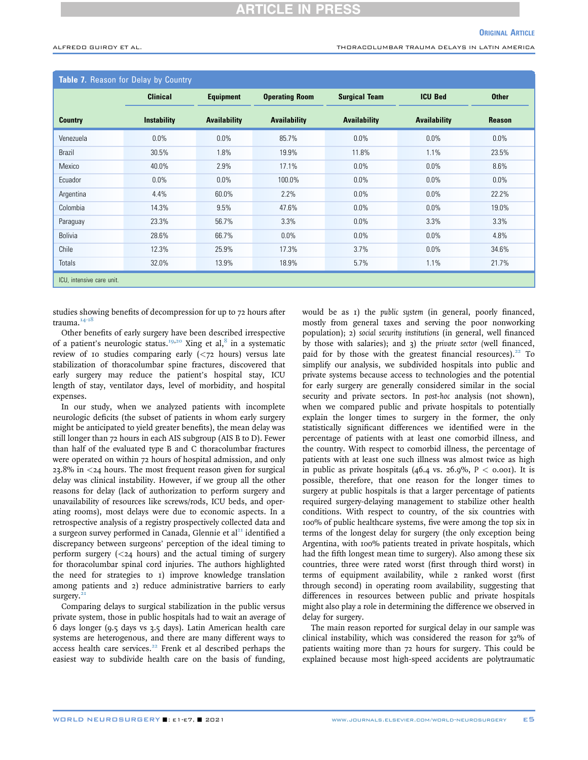ALFREDO GUIROY ET AL. THORACOLUMBAR TRAUMA DELAYS IN LATIN AMERICA

<span id="page-4-0"></span>

| Table 7. Reason for Delay by Country |                    |                     |                       |                      |                     |               |
|--------------------------------------|--------------------|---------------------|-----------------------|----------------------|---------------------|---------------|
|                                      | <b>Clinical</b>    | <b>Equipment</b>    | <b>Operating Room</b> | <b>Surgical Team</b> | <b>ICU Bed</b>      | <b>Other</b>  |
| <b>Country</b>                       | <b>Instability</b> | <b>Availability</b> | <b>Availability</b>   | <b>Availability</b>  | <b>Availability</b> | <b>Reason</b> |
| Venezuela                            | $0.0\%$            | $0.0\%$             | 85.7%                 | $0.0\%$              | 0.0%                | $0.0\%$       |
| <b>Brazil</b>                        | 30.5%              | 1.8%                | 19.9%                 | 11.8%                | 1.1%                | 23.5%         |
| Mexico                               | 40.0%              | 2.9%                | 17.1%                 | $0.0\%$              | 0.0%                | 8.6%          |
| Ecuador                              | 0.0%               | 0.0%                | 100.0%                | 0.0%                 | 0.0%                | $0.0\%$       |
| Argentina                            | 4.4%               | 60.0%               | 2.2%                  | 0.0%                 | 0.0%                | 22.2%         |
| Colombia                             | 14.3%              | 9.5%                | 47.6%                 | 0.0%                 | 0.0%                | 19.0%         |
| Paraguay                             | 23.3%              | 56.7%               | 3.3%                  | 0.0%                 | 3.3%                | 3.3%          |
| <b>Bolivia</b>                       | 28.6%              | 66.7%               | 0.0%                  | 0.0%                 | 0.0%                | 4.8%          |
| Chile                                | 12.3%              | 25.9%               | 17.3%                 | 3.7%                 | 0.0%                | 34.6%         |
| <b>Totals</b>                        | 32.0%              | 13.9%               | 18.9%                 | 5.7%                 | 1.1%                | 21.7%         |
| ICU, intensive care unit.            |                    |                     |                       |                      |                     |               |

studies showing benefits of decompression for up to 72 hours after trauma.<sup>[14-18](#page-6-1)</sup>

Other benefits of early surgery have been described irrespective of a patient's neurologic status.<sup>[19](#page-6-2)[,20](#page-6-3)</sup> Xing et al,<sup>[8](#page-5-7)</sup> in a systematic review of 10 studies comparing early  $( $z$  hours)$  versus late stabilization of thoracolumbar spine fractures, discovered that early surgery may reduce the patient's hospital stay, ICU length of stay, ventilator days, level of morbidity, and hospital expenses.

In our study, when we analyzed patients with incomplete neurologic deficits (the subset of patients in whom early surgery might be anticipated to yield greater benefits), the mean delay was still longer than 72 hours in each AIS subgroup (AIS B to D). Fewer than half of the evaluated type B and C thoracolumbar fractures were operated on within 72 hours of hospital admission, and only 23.8% in <24 hours. The most frequent reason given for surgical delay was clinical instability. However, if we group all the other reasons for delay (lack of authorization to perform surgery and unavailability of resources like screws/rods, ICU beds, and operating rooms), most delays were due to economic aspects. In a retrospective analysis of a registry prospectively collected data and a surgeon survey performed in Canada, Glennie et al<sup>[21](#page-6-4)</sup> identified a discrepancy between surgeons' perception of the ideal timing to perform surgery  $( $24$  hours) and the actual timing of surgery$ for thoracolumbar spinal cord injuries. The authors highlighted the need for strategies to 1) improve knowledge translation among patients and 2) reduce administrative barriers to early surgery.<sup>[21](#page-6-4)</sup>

Comparing delays to surgical stabilization in the public versus private system, those in public hospitals had to wait an average of 6 days longer (9.5 days vs 3.5 days). Latin American health care systems are heterogenous, and there are many different ways to access health care services.<sup>[22](#page-6-5)</sup> Frenk et al described perhaps the easiest way to subdivide health care on the basis of funding,

would be as 1) the public system (in general, poorly financed, mostly from general taxes and serving the poor nonworking population); 2) social security institutions (in general, well financed by those with salaries); and 3) the private sector (well financed, paid for by those with the greatest financial resources). $22$  To simplify our analysis, we subdivided hospitals into public and private systems because access to technologies and the potential for early surgery are generally considered similar in the social security and private sectors. In post-hoc analysis (not shown), when we compared public and private hospitals to potentially explain the longer times to surgery in the former, the only statistically significant differences we identified were in the percentage of patients with at least one comorbid illness, and the country. With respect to comorbid illness, the percentage of patients with at least one such illness was almost twice as high in public as private hospitals (46.4 vs. 26.9%,  $P < 0.001$ ). It is possible, therefore, that one reason for the longer times to surgery at public hospitals is that a larger percentage of patients required surgery-delaying management to stabilize other health conditions. With respect to country, of the six countries with 100% of public healthcare systems, five were among the top six in terms of the longest delay for surgery (the only exception being Argentina, with 100% patients treated in private hospitals, which had the fifth longest mean time to surgery). Also among these six countries, three were rated worst (first through third worst) in terms of equipment availability, while 2 ranked worst (first through second) in operating room availability, suggesting that differences in resources between public and private hospitals might also play a role in determining the difference we observed in delay for surgery.

The main reason reported for surgical delay in our sample was clinical instability, which was considered the reason for 32% of patients waiting more than 72 hours for surgery. This could be explained because most high-speed accidents are polytraumatic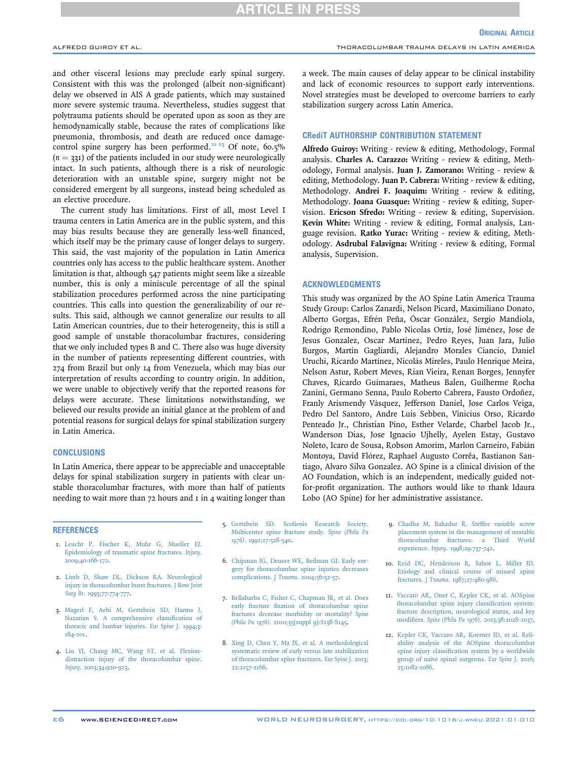# **ARTICLE IN PRESS**

and other visceral lesions may preclude early spinal surgery. Consistent with this was the prolonged (albeit non-significant) delay we observed in AIS A grade patients, which may sustained more severe systemic trauma. Nevertheless, studies suggest that polytrauma patients should be operated upon as soon as they are hemodynamically stable, because the rates of complications like pneumonia, thrombosis, and death are reduced once damage-control spine surgery has been performed.<sup>[21-23](#page-6-4)</sup> Of note,  $60.5\%$  $(n = 331)$  of the patients included in our study were neurologically intact. In such patients, although there is a risk of neurologic deterioration with an unstable spine, surgery might not be considered emergent by all surgeons, instead being scheduled as an elective procedure.

The current study has limitations. First of all, most Level I trauma centers in Latin America are in the public system, and this may bias results because they are generally less-well financed, which itself may be the primary cause of longer delays to surgery. This said, the vast majority of the population in Latin America countries only has access to the public healthcare system. Another limitation is that, although 547 patients might seem like a sizeable number, this is only a miniscule percentage of all the spinal stabilization procedures performed across the nine participating countries. This calls into question the generalizability of our results. This said, although we cannot generalize our results to all Latin American countries, due to their heterogeneity, this is still a good sample of unstable thoracolumbar fractures, considering that we only included types B and C. There also was huge diversity in the number of patients representing different countries, with 274 from Brazil but only 14 from Venezuela, which may bias our interpretation of results according to country origin. In addition, we were unable to objectively verify that the reported reasons for delays were accurate. These limitations notwithstanding, we believed our results provide an initial glance at the problem of and potential reasons for surgical delays for spinal stabilization surgery in Latin America.

## **CONCLUSIONS**

In Latin America, there appear to be appreciable and unacceptable delays for spinal stabilization surgery in patients with clear unstable thoracolumbar fractures, with more than half of patients needing to wait more than  $72$  hours and  $1$  in  $4$  waiting longer than

**REFERENCES** 

- <span id="page-5-0"></span>1. [Leucht P, Fischer K, Muhr G, Mueller EJ.](http://refhub.elsevier.com/S1878-8750(21)00031-0/sref1) [Epidemiology of traumatic spine fractures.](http://refhub.elsevier.com/S1878-8750(21)00031-0/sref1) Injury. [2009;40:166-172.](http://refhub.elsevier.com/S1878-8750(21)00031-0/sref1)
- <span id="page-5-1"></span>2. [Limb D, Shaw DL, Dickson RA. Neurological](http://refhub.elsevier.com/S1878-8750(21)00031-0/sref2) [injury in thoracolumbar burst fractures.](http://refhub.elsevier.com/S1878-8750(21)00031-0/sref2) J Bone Joint Surg Br[. 1995;77:774-777.](http://refhub.elsevier.com/S1878-8750(21)00031-0/sref2)
- <span id="page-5-2"></span>3. [Magerl F, Aebi M, Gertzbein SD, Harms J,](http://refhub.elsevier.com/S1878-8750(21)00031-0/sref3) [Nazarian S. A comprehensive classi](http://refhub.elsevier.com/S1878-8750(21)00031-0/sref3)fication of [thoracic and lumbar injuries.](http://refhub.elsevier.com/S1878-8750(21)00031-0/sref3) Eur Spine J. 1994;3: [184-201.](http://refhub.elsevier.com/S1878-8750(21)00031-0/sref3)
- <span id="page-5-3"></span>4. [Liu YJ, Chang MC, Wang ST, et al. Flexion](http://refhub.elsevier.com/S1878-8750(21)00031-0/sref4)[distraction injury of the thoracolumbar spine.](http://refhub.elsevier.com/S1878-8750(21)00031-0/sref4) Injury[. 2003;34:920-923.](http://refhub.elsevier.com/S1878-8750(21)00031-0/sref4)
- <span id="page-5-4"></span>5. [Gertzbein SD. Scoliosis Research Society.](http://refhub.elsevier.com/S1878-8750(21)00031-0/sref5) [Multicenter spine fracture study.](http://refhub.elsevier.com/S1878-8750(21)00031-0/sref5) Spine (Phila Pa 1976)[. 1992;17:528-540](http://refhub.elsevier.com/S1878-8750(21)00031-0/sref5).
- <span id="page-5-5"></span>6. [Chipman JG, Deuser WE, Beilman GJ. Early sur](http://refhub.elsevier.com/S1878-8750(21)00031-0/sref6)[gery for thoracolumbar spine injuries decreases](http://refhub.elsevier.com/S1878-8750(21)00031-0/sref6) complications. J Trauma[. 2004;56:52-57](http://refhub.elsevier.com/S1878-8750(21)00031-0/sref6).
- <span id="page-5-6"></span>7. [Bellabarba C, Fisher C, Chapman JR, et al. Does](http://refhub.elsevier.com/S1878-8750(21)00031-0/sref7) early fracture fi[xation of thoracolumbar spine](http://refhub.elsevier.com/S1878-8750(21)00031-0/sref7) [fractures decrease morbidity or mortality?](http://refhub.elsevier.com/S1878-8750(21)00031-0/sref7) Spine (Phila Pa 1976)[. 2010;35\(suppl 9\):S138-S145](http://refhub.elsevier.com/S1878-8750(21)00031-0/sref7).
- <span id="page-5-7"></span>8. [Xing D, Chen Y, Ma JX, et al. A methodological](http://refhub.elsevier.com/S1878-8750(21)00031-0/sref8) [systematic review of early versus late stabilization](http://refhub.elsevier.com/S1878-8750(21)00031-0/sref8) [of thoracolumbar spine fractures.](http://refhub.elsevier.com/S1878-8750(21)00031-0/sref8) Eur Spine J. 2013; [22:2157-2166.](http://refhub.elsevier.com/S1878-8750(21)00031-0/sref8)

a week. The main causes of delay appear to be clinical instability and lack of economic resources to support early interventions. Novel strategies must be developed to overcome barriers to early stabilization surgery across Latin America.

### CRediT AUTHORSHIP CONTRIBUTION STATEMENT

Alfredo Guiroy: Writing - review & editing, Methodology, Formal analysis. Charles A. Carazzo: Writing - review & editing, Methodology, Formal analysis. Juan J. Zamorano: Writing - review & editing, Methodology. Juan P. Cabrera: Writing - review & editing, Methodology. Andrei F. Joaquim: Writing - review & editing, Methodology. Joana Guasque: Writing - review & editing, Supervision. Ericson Sfredo: Writing - review & editing, Supervision. Kevin White: Writing - review & editing, Formal analysis, Language revision. Ratko Yurac: Writing - review & editing, Methodology. Asdrubal Falavigna: Writing - review & editing, Formal analysis, Supervision.

### ACKNOWLEDGMENTS

This study was organized by the AO Spine Latin America Trauma Study Group: Carlos Zanardi, Nelson Picard, Maximiliano Donato, Alberto Gorgas, Efrén Peña, Óscar González, Sergio Mandiola, Rodrigo Remondino, Pablo Nicolas Ortiz, José Jiménez, Jose de Jesus Gonzalez, Oscar Martinez, Pedro Reyes, Juan Jara, Julio Burgos, Martin Gagliardi, Alejandro Morales Ciancio, Daniel Uruchi, Ricardo Martínez, Nicolás Mireles, Paulo Henrique Meira, Nelson Astur, Robert Meves, Rian Vieira, Renan Borges, Jennyfer Chaves, Ricardo Guimaraes, Matheus Balen, Guilherme Rocha Zanini, Germano Senna, Paulo Roberto Cabrera, Fausto Ordoñez, Franly Arismendy Vásquez, Jefferson Daniel, Jose Carlos Veiga, Pedro Del Santoro, Andre Luis Sebben, Vinicius Orso, Ricardo Penteado Jr., Christian Pino, Esther Velarde, Charbel Jacob Jr., Wanderson Dias, Jose Ignacio Ujhelly, Ayelen Estay, Gustavo Noleto, Icaro de Sousa, Robson Amorim, Marlon Carneiro, Fabián Montoya, David Flórez, Raphael Augusto Corrêa, Bastianon Santiago, Alvaro Silva Gonzalez. AO Spine is a clinical division of the AO Foundation, which is an independent, medically guided notfor-profit organization. The authors would like to thank Idaura Lobo (AO Spine) for her administrative assistance.

- <span id="page-5-8"></span>9. [Chadha M, Bahadur R. Steffee variable screw](http://refhub.elsevier.com/S1878-8750(21)00031-0/sref9) [placement system in the management of unstable](http://refhub.elsevier.com/S1878-8750(21)00031-0/sref9) [thoracolumbar fractures: a Third World](http://refhub.elsevier.com/S1878-8750(21)00031-0/sref9) experience. Injury[. 1998;29:737-742](http://refhub.elsevier.com/S1878-8750(21)00031-0/sref9).
- <span id="page-5-9"></span>10. [Reid DC, Henderson R, Saboe L, Miller JD.](http://refhub.elsevier.com/S1878-8750(21)00031-0/sref10) [Etiology and clinical course of missed spine](http://refhub.elsevier.com/S1878-8750(21)00031-0/sref10) fractures. J Trauma[. 1987;27:980-986.](http://refhub.elsevier.com/S1878-8750(21)00031-0/sref10)
- <span id="page-5-10"></span>11. [Vaccaro AR, Oner C, Kepler CK, et al. AOSpine](http://refhub.elsevier.com/S1878-8750(21)00031-0/sref11) [thoracolumbar spine injury classi](http://refhub.elsevier.com/S1878-8750(21)00031-0/sref11)fication system: [fracture description, neurological status, and key](http://refhub.elsevier.com/S1878-8750(21)00031-0/sref11) modifiers. Spine (Phila Pa 1976)[. 2013;38:2028-2037](http://refhub.elsevier.com/S1878-8750(21)00031-0/sref11).
- <span id="page-5-11"></span>12. [Kepler CK, Vaccaro AR, Koerner JD, et al. Reli](http://refhub.elsevier.com/S1878-8750(21)00031-0/sref12)[ability analysis of the AOSpine thoracolumbar](http://refhub.elsevier.com/S1878-8750(21)00031-0/sref12) spine injury classifi[cation system by a worldwide](http://refhub.elsevier.com/S1878-8750(21)00031-0/sref12) [group of naïve spinal surgeons.](http://refhub.elsevier.com/S1878-8750(21)00031-0/sref12) Eur Spine J. 2016; [25:1082-1086](http://refhub.elsevier.com/S1878-8750(21)00031-0/sref12).